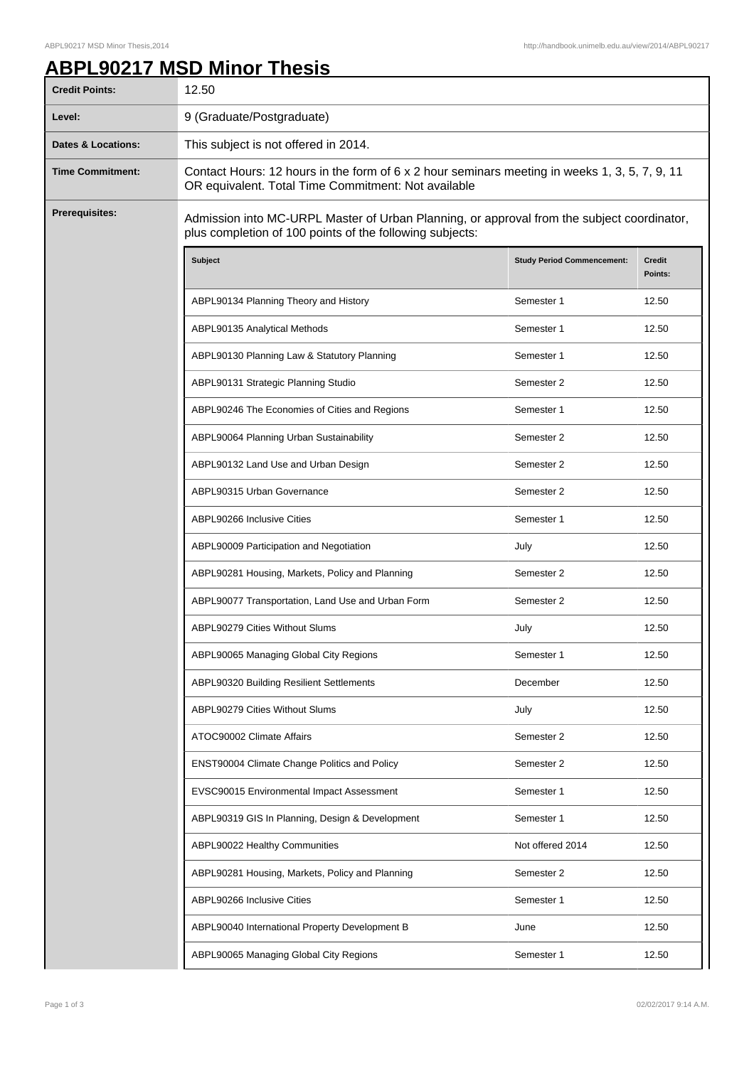## **ABPL90217 MSD Minor Thesis**

| <b>Credit Points:</b>         | 12.50                                                                                                                                                  |                                   |                          |
|-------------------------------|--------------------------------------------------------------------------------------------------------------------------------------------------------|-----------------------------------|--------------------------|
| Level:                        | 9 (Graduate/Postgraduate)                                                                                                                              |                                   |                          |
| <b>Dates &amp; Locations:</b> | This subject is not offered in 2014.                                                                                                                   |                                   |                          |
| <b>Time Commitment:</b>       | Contact Hours: 12 hours in the form of 6 x 2 hour seminars meeting in weeks 1, 3, 5, 7, 9, 11<br>OR equivalent. Total Time Commitment: Not available   |                                   |                          |
| <b>Prerequisites:</b>         | Admission into MC-URPL Master of Urban Planning, or approval from the subject coordinator,<br>plus completion of 100 points of the following subjects: |                                   |                          |
|                               | Subject                                                                                                                                                | <b>Study Period Commencement:</b> | <b>Credit</b><br>Points: |
|                               | ABPL90134 Planning Theory and History                                                                                                                  | Semester 1                        | 12.50                    |
|                               | ABPL90135 Analytical Methods                                                                                                                           | Semester 1                        | 12.50                    |
|                               | ABPL90130 Planning Law & Statutory Planning                                                                                                            | Semester 1                        | 12.50                    |
|                               | ABPL90131 Strategic Planning Studio                                                                                                                    | Semester 2                        | 12.50                    |
|                               | ABPL90246 The Economies of Cities and Regions                                                                                                          | Semester 1                        | 12.50                    |
|                               | ABPL90064 Planning Urban Sustainability                                                                                                                | Semester 2                        | 12.50                    |
|                               | ABPL90132 Land Use and Urban Design                                                                                                                    | Semester 2                        | 12.50                    |
|                               | ABPL90315 Urban Governance                                                                                                                             | Semester 2                        | 12.50                    |
|                               | ABPL90266 Inclusive Cities                                                                                                                             | Semester 1                        | 12.50                    |
|                               | ABPL90009 Participation and Negotiation                                                                                                                | July                              | 12.50                    |
|                               | ABPL90281 Housing, Markets, Policy and Planning                                                                                                        | Semester 2                        | 12.50                    |
|                               | ABPL90077 Transportation, Land Use and Urban Form                                                                                                      | Semester 2                        | 12.50                    |
|                               | ABPL90279 Cities Without Slums                                                                                                                         | July                              | 12.50                    |
|                               | ABPL90065 Managing Global City Regions                                                                                                                 | Semester 1                        | 12.50                    |
|                               | ABPL90320 Building Resilient Settlements                                                                                                               | December                          | 12.50                    |
|                               | ABPL90279 Cities Without Slums                                                                                                                         | July                              | 12.50                    |
|                               | ATOC90002 Climate Affairs                                                                                                                              | Semester 2                        | 12.50                    |
|                               | ENST90004 Climate Change Politics and Policy                                                                                                           | Semester 2                        | 12.50                    |
|                               | EVSC90015 Environmental Impact Assessment                                                                                                              | Semester 1                        | 12.50                    |
|                               | ABPL90319 GIS In Planning, Design & Development                                                                                                        | Semester 1                        | 12.50                    |
|                               | ABPL90022 Healthy Communities                                                                                                                          | Not offered 2014                  | 12.50                    |
|                               | ABPL90281 Housing, Markets, Policy and Planning                                                                                                        | Semester 2                        | 12.50                    |
|                               | ABPL90266 Inclusive Cities                                                                                                                             | Semester 1                        | 12.50                    |
|                               | ABPL90040 International Property Development B                                                                                                         | June                              | 12.50                    |
|                               | ABPL90065 Managing Global City Regions                                                                                                                 | Semester 1                        | 12.50                    |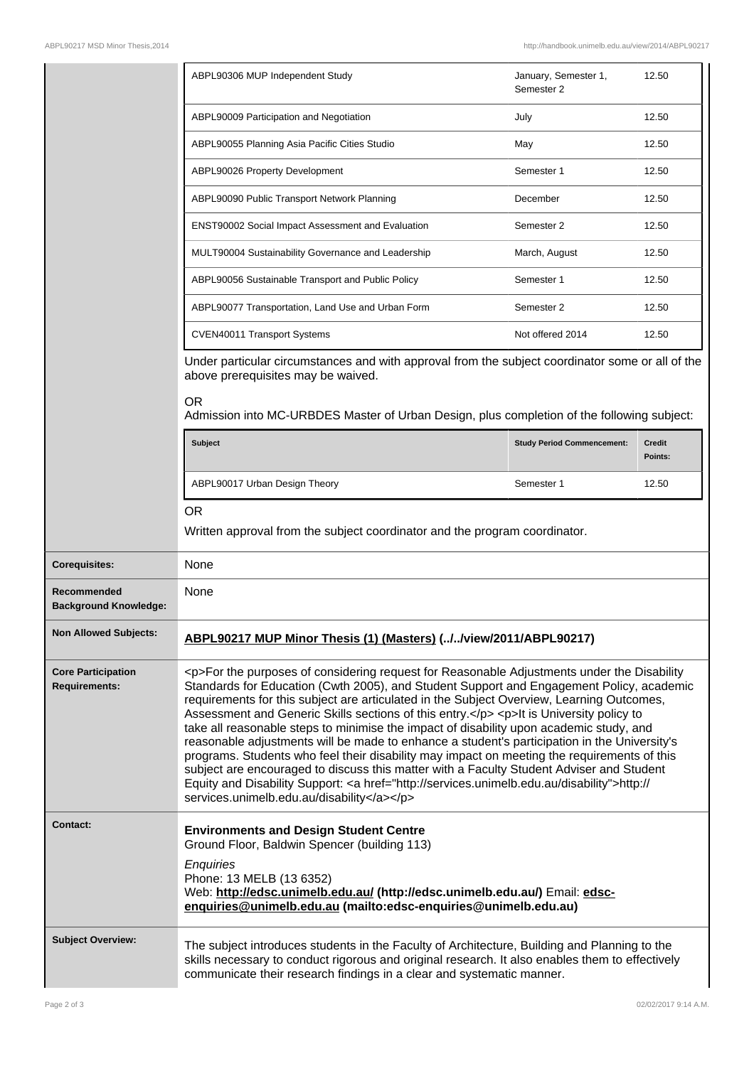|                                                   | ABPL90306 MUP Independent Study                                                                                                                                                                                                                                                                                                                                                                                                                                                                                                                                                                                                                                                                                                                                                                                                                                                                                              | January, Semester 1,<br>Semester 2 | 12.50                    |
|---------------------------------------------------|------------------------------------------------------------------------------------------------------------------------------------------------------------------------------------------------------------------------------------------------------------------------------------------------------------------------------------------------------------------------------------------------------------------------------------------------------------------------------------------------------------------------------------------------------------------------------------------------------------------------------------------------------------------------------------------------------------------------------------------------------------------------------------------------------------------------------------------------------------------------------------------------------------------------------|------------------------------------|--------------------------|
|                                                   | ABPL90009 Participation and Negotiation                                                                                                                                                                                                                                                                                                                                                                                                                                                                                                                                                                                                                                                                                                                                                                                                                                                                                      | July                               | 12.50                    |
|                                                   | ABPL90055 Planning Asia Pacific Cities Studio                                                                                                                                                                                                                                                                                                                                                                                                                                                                                                                                                                                                                                                                                                                                                                                                                                                                                | May                                | 12.50                    |
|                                                   | ABPL90026 Property Development                                                                                                                                                                                                                                                                                                                                                                                                                                                                                                                                                                                                                                                                                                                                                                                                                                                                                               | Semester 1                         | 12.50                    |
|                                                   | ABPL90090 Public Transport Network Planning                                                                                                                                                                                                                                                                                                                                                                                                                                                                                                                                                                                                                                                                                                                                                                                                                                                                                  | December                           | 12.50                    |
|                                                   | ENST90002 Social Impact Assessment and Evaluation                                                                                                                                                                                                                                                                                                                                                                                                                                                                                                                                                                                                                                                                                                                                                                                                                                                                            | Semester 2                         | 12.50                    |
|                                                   | MULT90004 Sustainability Governance and Leadership                                                                                                                                                                                                                                                                                                                                                                                                                                                                                                                                                                                                                                                                                                                                                                                                                                                                           | March, August                      | 12.50                    |
|                                                   | ABPL90056 Sustainable Transport and Public Policy                                                                                                                                                                                                                                                                                                                                                                                                                                                                                                                                                                                                                                                                                                                                                                                                                                                                            | Semester 1                         | 12.50                    |
|                                                   | ABPL90077 Transportation, Land Use and Urban Form                                                                                                                                                                                                                                                                                                                                                                                                                                                                                                                                                                                                                                                                                                                                                                                                                                                                            | Semester 2                         | 12.50                    |
|                                                   | CVEN40011 Transport Systems                                                                                                                                                                                                                                                                                                                                                                                                                                                                                                                                                                                                                                                                                                                                                                                                                                                                                                  | Not offered 2014                   | 12.50                    |
|                                                   | Under particular circumstances and with approval from the subject coordinator some or all of the<br>above prerequisites may be waived.                                                                                                                                                                                                                                                                                                                                                                                                                                                                                                                                                                                                                                                                                                                                                                                       |                                    |                          |
|                                                   | <b>OR</b><br>Admission into MC-URBDES Master of Urban Design, plus completion of the following subject:                                                                                                                                                                                                                                                                                                                                                                                                                                                                                                                                                                                                                                                                                                                                                                                                                      |                                    |                          |
|                                                   | <b>Subject</b>                                                                                                                                                                                                                                                                                                                                                                                                                                                                                                                                                                                                                                                                                                                                                                                                                                                                                                               | <b>Study Period Commencement:</b>  | <b>Credit</b><br>Points: |
|                                                   | ABPL90017 Urban Design Theory                                                                                                                                                                                                                                                                                                                                                                                                                                                                                                                                                                                                                                                                                                                                                                                                                                                                                                | Semester 1                         | 12.50                    |
|                                                   | <b>OR</b><br>Written approval from the subject coordinator and the program coordinator.                                                                                                                                                                                                                                                                                                                                                                                                                                                                                                                                                                                                                                                                                                                                                                                                                                      |                                    |                          |
| <b>Corequisites:</b>                              | None                                                                                                                                                                                                                                                                                                                                                                                                                                                                                                                                                                                                                                                                                                                                                                                                                                                                                                                         |                                    |                          |
| Recommended<br><b>Background Knowledge:</b>       | None                                                                                                                                                                                                                                                                                                                                                                                                                                                                                                                                                                                                                                                                                                                                                                                                                                                                                                                         |                                    |                          |
| <b>Non Allowed Subjects:</b>                      | ABPL90217 MUP Minor Thesis (1) (Masters) (//view/2011/ABPL90217)                                                                                                                                                                                                                                                                                                                                                                                                                                                                                                                                                                                                                                                                                                                                                                                                                                                             |                                    |                          |
| <b>Core Participation</b><br><b>Requirements:</b> | <p>For the purposes of considering request for Reasonable Adjustments under the Disability<br/>Standards for Education (Cwth 2005), and Student Support and Engagement Policy, academic<br/>requirements for this subject are articulated in the Subject Overview, Learning Outcomes,<br/>Assessment and Generic Skills sections of this entry.</p> <p>lt is University policy to<br/>take all reasonable steps to minimise the impact of disability upon academic study, and<br/>reasonable adjustments will be made to enhance a student's participation in the University's<br/>programs. Students who feel their disability may impact on meeting the requirements of this<br/>subject are encouraged to discuss this matter with a Faculty Student Adviser and Student<br/>Equity and Disability Support: &lt; a href="http://services.unimelb.edu.au/disability"&gt;http://<br/>services.unimelb.edu.au/disability</p> |                                    |                          |
| <b>Contact:</b>                                   | <b>Environments and Design Student Centre</b><br>Ground Floor, Baldwin Spencer (building 113)<br>Enquiries<br>Phone: 13 MELB (13 6352)<br>Web: http://edsc.unimelb.edu.au/ (http://edsc.unimelb.edu.au/) Email: edsc-<br>enquiries@unimelb.edu.au (mailto:edsc-enquiries@unimelb.edu.au)                                                                                                                                                                                                                                                                                                                                                                                                                                                                                                                                                                                                                                     |                                    |                          |
| <b>Subject Overview:</b>                          | The subject introduces students in the Faculty of Architecture, Building and Planning to the<br>skills necessary to conduct rigorous and original research. It also enables them to effectively<br>communicate their research findings in a clear and systematic manner.                                                                                                                                                                                                                                                                                                                                                                                                                                                                                                                                                                                                                                                     |                                    |                          |

 $\mathbf l$